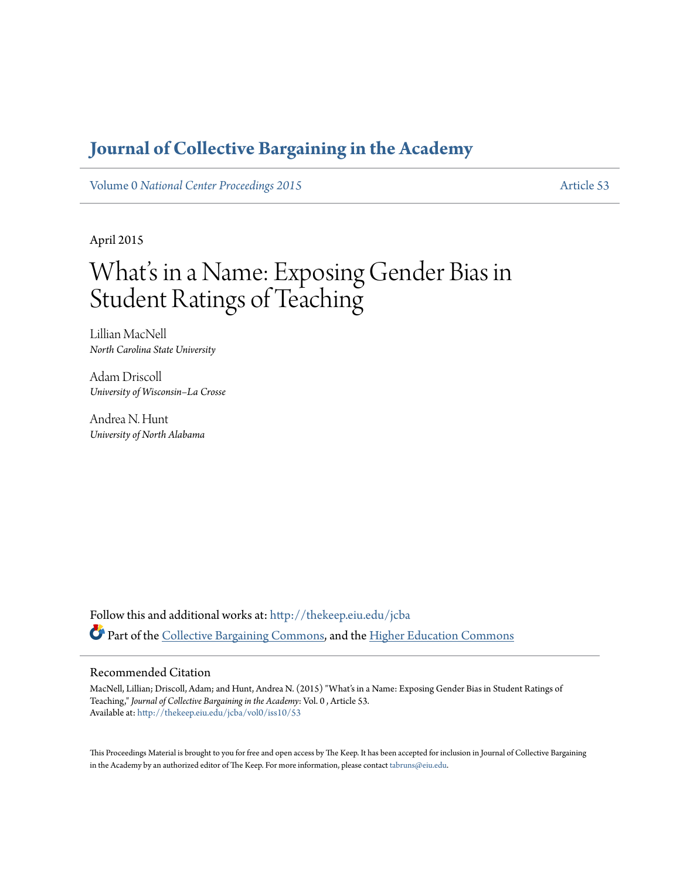# **[Journal of Collective Bargaining in the Academy](http://thekeep.eiu.edu/jcba?utm_source=thekeep.eiu.edu%2Fjcba%2Fvol0%2Fiss10%2F53&utm_medium=PDF&utm_campaign=PDFCoverPages)**

Volume 0 *[National Center Proceedings 2015](http://thekeep.eiu.edu/jcba/vol0?utm_source=thekeep.eiu.edu%2Fjcba%2Fvol0%2Fiss10%2F53&utm_medium=PDF&utm_campaign=PDFCoverPages)* [Article 53](http://thekeep.eiu.edu/jcba/vol0/iss10/53?utm_source=thekeep.eiu.edu%2Fjcba%2Fvol0%2Fiss10%2F53&utm_medium=PDF&utm_campaign=PDFCoverPages)

April 2015

# What's in a Name: Exposing Gender Bias in Student Ratings of Teaching

Lillian MacNell *North Carolina State University*

Adam Driscoll *University of Wisconsin–La Crosse*

Andrea N. Hunt *University of North Alabama*

Follow this and additional works at: [http://thekeep.eiu.edu/jcba](http://thekeep.eiu.edu/jcba?utm_source=thekeep.eiu.edu%2Fjcba%2Fvol0%2Fiss10%2F53&utm_medium=PDF&utm_campaign=PDFCoverPages) Part of the [Collective Bargaining Commons](http://network.bepress.com/hgg/discipline/1258?utm_source=thekeep.eiu.edu%2Fjcba%2Fvol0%2Fiss10%2F53&utm_medium=PDF&utm_campaign=PDFCoverPages), and the [Higher Education Commons](http://network.bepress.com/hgg/discipline/1245?utm_source=thekeep.eiu.edu%2Fjcba%2Fvol0%2Fiss10%2F53&utm_medium=PDF&utm_campaign=PDFCoverPages)

#### Recommended Citation

MacNell, Lillian; Driscoll, Adam; and Hunt, Andrea N. (2015) "What's in a Name: Exposing Gender Bias in Student Ratings of Teaching," *Journal of Collective Bargaining in the Academy*: Vol. 0 , Article 53. Available at: [http://thekeep.eiu.edu/jcba/vol0/iss10/53](http://thekeep.eiu.edu/jcba/vol0/iss10/53?utm_source=thekeep.eiu.edu%2Fjcba%2Fvol0%2Fiss10%2F53&utm_medium=PDF&utm_campaign=PDFCoverPages)

This Proceedings Material is brought to you for free and open access by The Keep. It has been accepted for inclusion in Journal of Collective Bargaining in the Academy by an authorized editor of The Keep. For more information, please contact [tabruns@eiu.edu](mailto:tabruns@eiu.edu).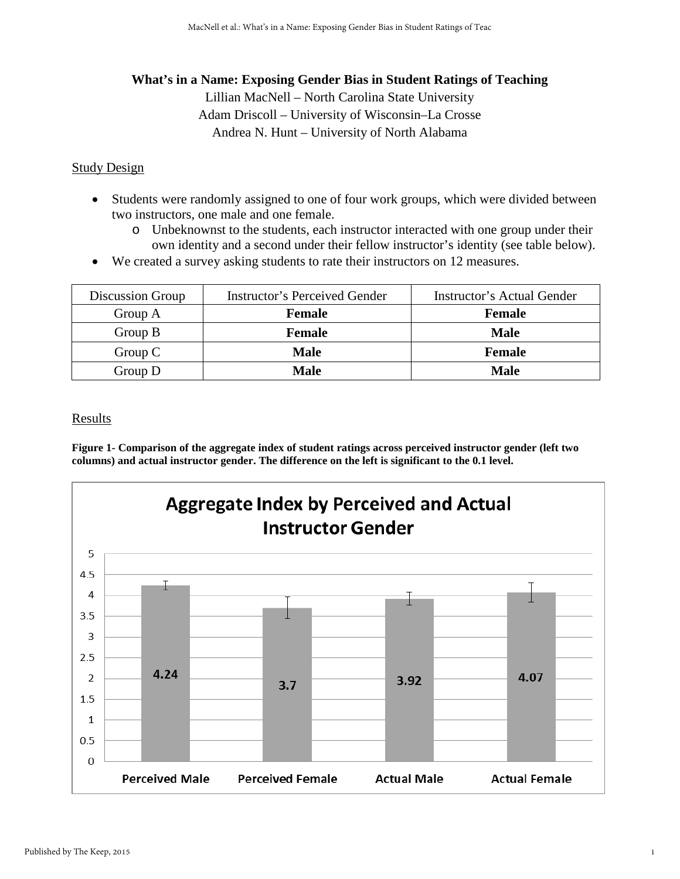# **What's in a Name: Exposing Gender Bias in Student Ratings of Teaching**

Lillian MacNell – North Carolina State University Adam Driscoll – University of Wisconsin–La Crosse Andrea N. Hunt – University of North Alabama

## **Study Design**

- Students were randomly assigned to one of four work groups, which were divided between two instructors, one male and one female.
	- o Unbeknownst to the students, each instructor interacted with one group under their own identity and a second under their fellow instructor's identity (see table below).
- We created a survey asking students to rate their instructors on 12 measures.

| Discussion Group | Instructor's Perceived Gender | <b>Instructor's Actual Gender</b> |
|------------------|-------------------------------|-----------------------------------|
| Group A          | <b>Female</b>                 | <b>Female</b>                     |
| Group $B$        | <b>Female</b>                 | <b>Male</b>                       |
| Group $C$        | <b>Male</b>                   | <b>Female</b>                     |
| Group $D$        | <b>Male</b>                   | Male                              |

### **Results**

**Figure 1- Comparison of the aggregate index of student ratings across perceived instructor gender (left two columns) and actual instructor gender. The difference on the left is significant to the 0.1 level.**